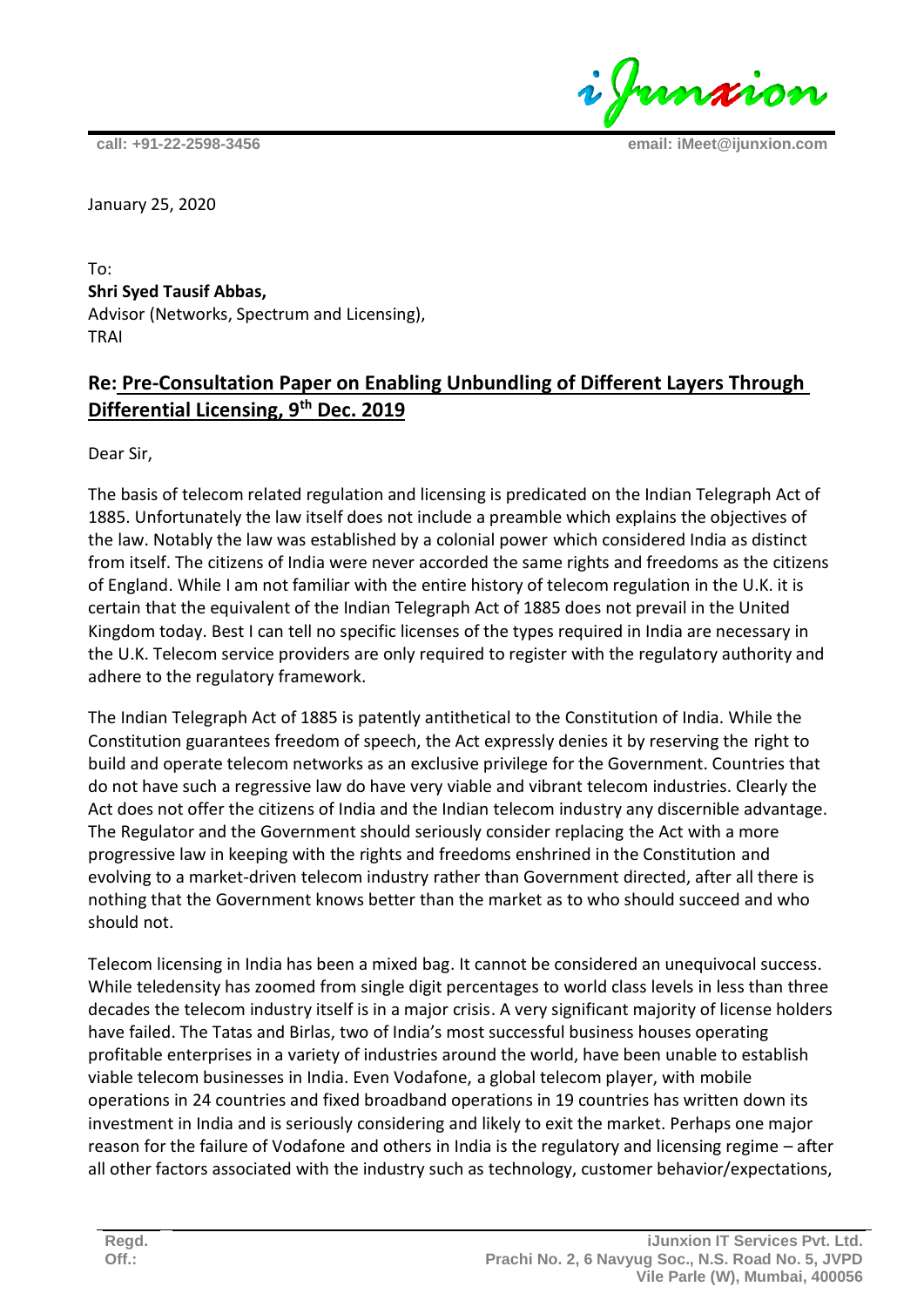i Junxion

**call: +91-22-2598-3456 email: iMeet@ijunxion.com**

January 25, 2020

To: **Shri Syed Tausif Abbas,**  Advisor (Networks, Spectrum and Licensing), TRAI

## **Re: Pre-Consultation Paper on Enabling Unbundling of Different Layers Through Differential Licensing, 9th Dec. 2019**

Dear Sir,

The basis of telecom related regulation and licensing is predicated on the Indian Telegraph Act of 1885. Unfortunately the law itself does not include a preamble which explains the objectives of the law. Notably the law was established by a colonial power which considered India as distinct from itself. The citizens of India were never accorded the same rights and freedoms as the citizens of England. While I am not familiar with the entire history of telecom regulation in the U.K. it is certain that the equivalent of the Indian Telegraph Act of 1885 does not prevail in the United Kingdom today. Best I can tell no specific licenses of the types required in India are necessary in the U.K. Telecom service providers are only required to register with the regulatory authority and adhere to the regulatory framework.

The Indian Telegraph Act of 1885 is patently antithetical to the Constitution of India. While the Constitution guarantees freedom of speech, the Act expressly denies it by reserving the right to build and operate telecom networks as an exclusive privilege for the Government. Countries that do not have such a regressive law do have very viable and vibrant telecom industries. Clearly the Act does not offer the citizens of India and the Indian telecom industry any discernible advantage. The Regulator and the Government should seriously consider replacing the Act with a more progressive law in keeping with the rights and freedoms enshrined in the Constitution and evolving to a market-driven telecom industry rather than Government directed, after all there is nothing that the Government knows better than the market as to who should succeed and who should not.

Telecom licensing in India has been a mixed bag. It cannot be considered an unequivocal success. While teledensity has zoomed from single digit percentages to world class levels in less than three decades the telecom industry itself is in a major crisis. A very significant majority of license holders have failed. The Tatas and Birlas, two of India's most successful business houses operating profitable enterprises in a variety of industries around the world, have been unable to establish viable telecom businesses in India. Even Vodafone, a global telecom player, with mobile operations in 24 countries and fixed broadband operations in 19 countries has written down its investment in India and is seriously considering and likely to exit the market. Perhaps one major reason for the failure of Vodafone and others in India is the regulatory and licensing regime – after all other factors associated with the industry such as technology, customer behavior/expectations,